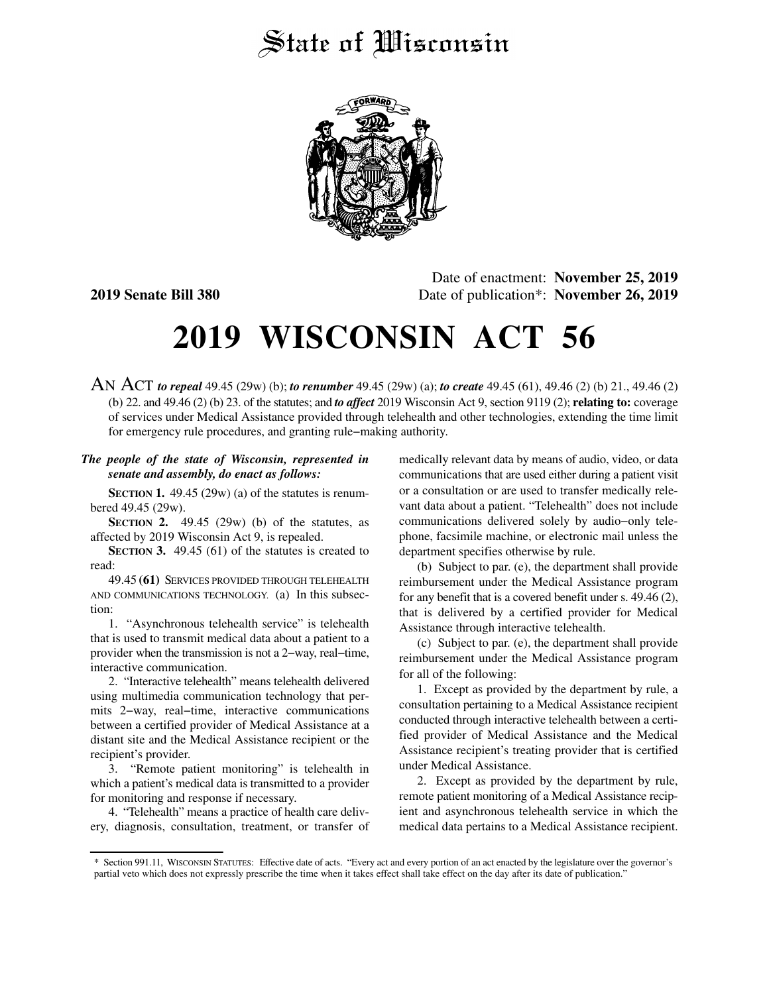## State of Wisconsin



Date of enactment: **November 25, 2019 2019 Senate Bill 380** Date of publication\*: **November 26, 2019**

## **2019 WISCONSIN ACT 56**

AN ACT *to repeal* 49.45 (29w) (b); *to renumber* 49.45 (29w) (a); *to create* 49.45 (61), 49.46 (2) (b) 21., 49.46 (2) (b) 22. and 49.46 (2) (b) 23. of the statutes; and *to affect* 2019 Wisconsin Act 9, section 9119 (2); **relating to:** coverage of services under Medical Assistance provided through telehealth and other technologies, extending the time limit for emergency rule procedures, and granting rule−making authority.

## *The people of the state of Wisconsin, represented in senate and assembly, do enact as follows:*

**SECTION 1.** 49.45 (29w) (a) of the statutes is renumbered 49.45 (29w).

**SECTION 2.** 49.45 (29w) (b) of the statutes, as affected by 2019 Wisconsin Act 9, is repealed.

**SECTION 3.** 49.45 (61) of the statutes is created to read:

49.45 **(61)** SERVICES PROVIDED THROUGH TELEHEALTH AND COMMUNICATIONS TECHNOLOGY. (a) In this subsection:

1. "Asynchronous telehealth service" is telehealth that is used to transmit medical data about a patient to a provider when the transmission is not a 2−way, real−time, interactive communication.

2. "Interactive telehealth" means telehealth delivered using multimedia communication technology that permits 2−way, real−time, interactive communications between a certified provider of Medical Assistance at a distant site and the Medical Assistance recipient or the recipient's provider.

3. "Remote patient monitoring" is telehealth in which a patient's medical data is transmitted to a provider for monitoring and response if necessary.

4. "Telehealth" means a practice of health care delivery, diagnosis, consultation, treatment, or transfer of medically relevant data by means of audio, video, or data communications that are used either during a patient visit or a consultation or are used to transfer medically relevant data about a patient. "Telehealth" does not include communications delivered solely by audio−only telephone, facsimile machine, or electronic mail unless the department specifies otherwise by rule.

(b) Subject to par. (e), the department shall provide reimbursement under the Medical Assistance program for any benefit that is a covered benefit under s. 49.46 (2), that is delivered by a certified provider for Medical Assistance through interactive telehealth.

(c) Subject to par. (e), the department shall provide reimbursement under the Medical Assistance program for all of the following:

1. Except as provided by the department by rule, a consultation pertaining to a Medical Assistance recipient conducted through interactive telehealth between a certified provider of Medical Assistance and the Medical Assistance recipient's treating provider that is certified under Medical Assistance.

2. Except as provided by the department by rule, remote patient monitoring of a Medical Assistance recipient and asynchronous telehealth service in which the medical data pertains to a Medical Assistance recipient.

<sup>\*</sup> Section 991.11, WISCONSIN STATUTES: Effective date of acts. "Every act and every portion of an act enacted by the legislature over the governor's partial veto which does not expressly prescribe the time when it takes effect shall take effect on the day after its date of publication."